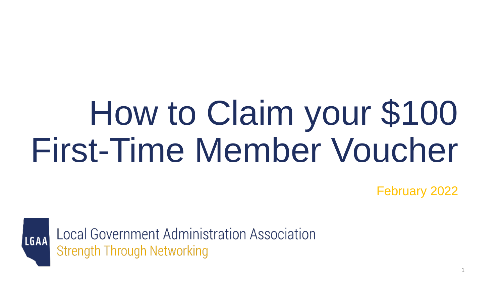# How to Claim your \$100 First-Time Member Voucher

February 2022



Local Government Administration Association **Strength Through Networking**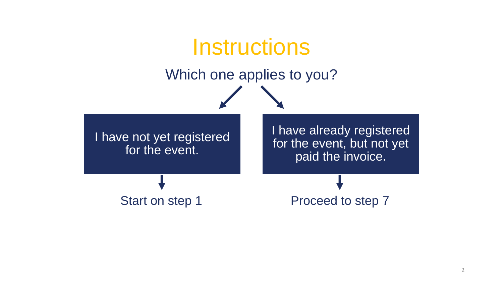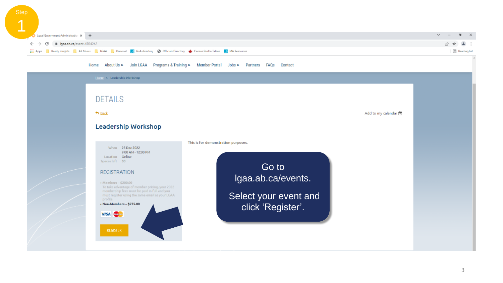| <b>Step</b> |                                                                                                                               |                         |
|-------------|-------------------------------------------------------------------------------------------------------------------------------|-------------------------|
|             |                                                                                                                               |                         |
|             | Local Government Administration X +                                                                                           | $v = 0 \times$          |
|             | $\leftarrow$ $\rightarrow$ $\mathbb{G}$ iii Igaalab.ca/event-4704242                                                          | 2☆▲:                    |
|             | EL Apps Reedy Insights R AB Munis R LGAA Resonal A GoA directory @ Officials Directory C Census Profile Tables A MA Resources | <b>Ell</b> Reading list |

#### Home About Us ► Join LGAA Programs & Training ► Member Portal Jobs ► Partners FAQs Contact

| Home > Leadership Workshop<br><b>DETAILS</b><br>h Back<br>Leadership Workshop                                                                                                                                                                                                                                                                             | Add to my calendar 图                                                                                             |  |
|-----------------------------------------------------------------------------------------------------------------------------------------------------------------------------------------------------------------------------------------------------------------------------------------------------------------------------------------------------------|------------------------------------------------------------------------------------------------------------------|--|
| When 25 Dec 2022<br>9:00 AM - 12:00 PM<br>Location Online<br>Spaces left 30<br><b>REGISTRATION</b><br>+ Members - \$200.00<br>To take advantage of member pricing, your 2022<br>membership fees must be paid in full and you<br>must register using the same email as your LGAA<br>profile.<br>+ Non-Members - \$275.00<br><b>VISA</b><br><b>REGISTER</b> | This is for demonstration purposes.<br>Go to<br>Igaa.ab.ca/events.<br>Select your event and<br>click 'Register'. |  |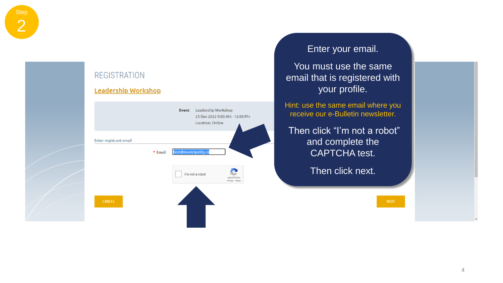

### **Leadership Workshop** Event Leadership Workshop 25 Dec 2022 9:00 AM - 12:00 PM Location: Online Enter registrant email \* Email est@municipality.ca

e I'm not a robot **reCAPTCHA** Privacy - Texna

## Enter your email.

You must use the same email that is registered with your profile.

Hint: use the same email where you receive our e -Bulletin newsletter.

Then click "I'm not a robot" and complete the CAPTCHA test.

Then click next.

**NEXT**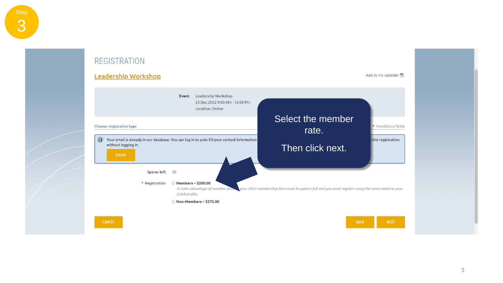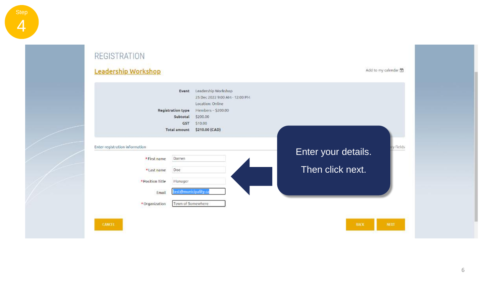#### **REGISTRATION** Leadership Workshop Add to my calendar Event Leadership Workshop 25 Dec 2022 9:00 AM - 12:00 PM Location: Online **Registration type** Members - \$200.00 Subtotal \$200.00 GST 510.00 Total amount \$210.00 (CAD) ry fields Enter registration information Enter your details. \*First name Darren Then click next. Doe \*Last name Manager \*Position Title test@municipality.ca Email Town of Somewhere \*Organization CANCEL BACK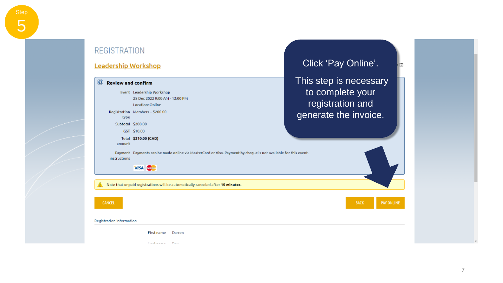#### **REGISTRATION** Click 'Pay Online'. **Leadership Workshop** This step is necessary  $^{\circ}$ **Review and confirm** to complete your Event Leadership Workshop 25 Dec 2022 9:00 AM - 12:00 PM registration and **Location: Online** Registration Members-\$200.00 generate the invoice. type Subtotal \$200.00 GST \$10.00 Total \$210.00 (CAD) amount Payment Payments can be made online via MasterCard or Visa. Payment by cheque is not available for this event. instructions VISA Com Note that unpaid registrations will be automatically canceled after 15 minutes. **CANCEL BACK PAY ONLINE** Registration information **First name** Darren The demand of Prints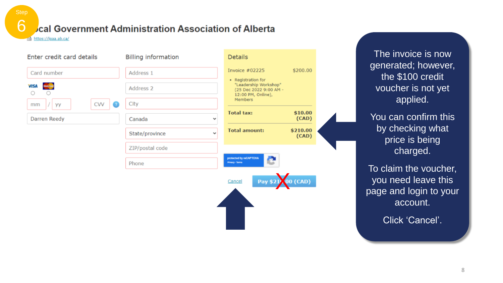cal Government Administration Association of Alberta

https://lgaa.ab.ca/

**Step** 

 $\cap$ 

| Enter credit card details    | <b>Billing information</b> | <b>Details</b>                                                                              |       |
|------------------------------|----------------------------|---------------------------------------------------------------------------------------------|-------|
| Card number                  | Address 1                  | \$200.00<br>Invoice $#02225$                                                                |       |
| <b>VISA</b><br>Maximian<br>O | Address 2                  | • Registration for<br>"Leadership Workshop"<br>(25 Dec 2022 9:00 AM -<br>12:00 PM, Online), |       |
| <b>CVV</b><br>уу<br>mm       | City<br>o                  | <b>Members</b>                                                                              |       |
| Darren Reedy                 | Canada                     | <b>Total tax:</b><br>\$10.00<br>v                                                           | (CAD) |
|                              | State/province             | <b>Total amount:</b><br>\$210.00<br>$\checkmark$                                            | (CAD) |
|                              | ZIP/postal code            |                                                                                             |       |
|                              | Phone                      | protected by reCAPTCHA<br>e<br>Privacy - Terms                                              |       |
|                              |                            | Pay \$21 00 (CAD)<br>Cancel                                                                 |       |
|                              |                            |                                                                                             |       |
|                              |                            |                                                                                             |       |
|                              |                            |                                                                                             |       |

The invoice is now generated; however, the \$100 credit voucher is not yet applied.

You can confirm this by checking what price is being charged.

To claim the voucher, you need leave this page and login to your account.

Click 'Cancel'.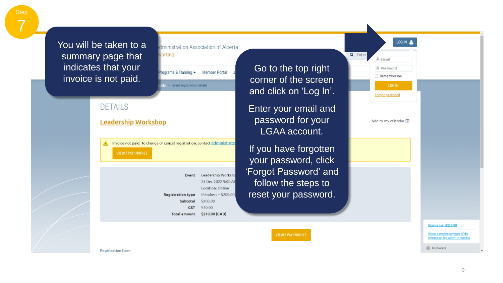You will be taken to a summary page that indicates that your invoice is not paid.

**Step** 

7

### working rograms & Training > Member Portal ile > Event registration details **DETAILS Leadership Workshop** Invoice not paid. To change or cancel registration, contact administrato **VIEW / PAY INVOICE** Event Leadership Worksho 25 Dec 2022 9:00 Af Location: Online Members - \$200.00 **Registration type** \$200.00 Subtotal **GST** \$10.00 \$210.00 (CAD) **Total amount**

dministration Association of Alberta

LOG IN Q Enter **≜** Email Go to the top right **A** Password Remember me corner of the screen LOG IN and click on 'Log In'. Forgot password Enter your email and password for your Add to my calendar 筒 LGAA account. If you have forgotten your password, click 'Forgot Password' and follow the steps to reset your password. Balance due: \$210.00 VIEW / PAY INVOICE Please complete payment of the registration fee within 14 minute

**Registration form** 

**O** MESSAGES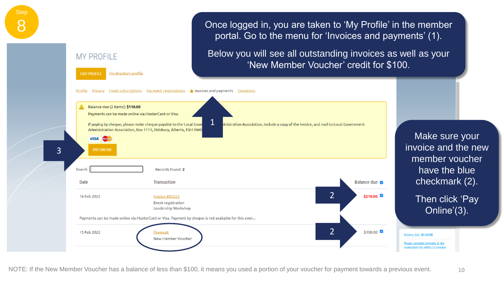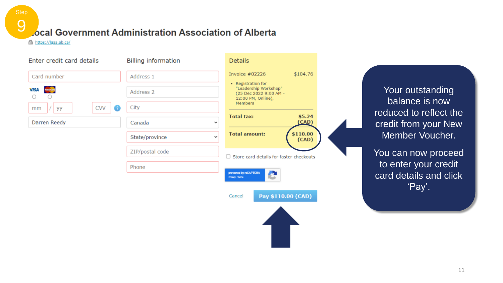# ocal Government Administration Association of Alberta

https://lgaa.ab.ca/

9

| Enter credit card details | <b>Billing information</b>     | <b>Details</b>                                                                              |                                                |
|---------------------------|--------------------------------|---------------------------------------------------------------------------------------------|------------------------------------------------|
| Card number               | Address 1                      | \$104.76<br>Invoice $#02226$                                                                |                                                |
| <b>VISA</b>               | Address 2                      | • Registration for<br>"Leadership Workshop"<br>(25 Dec 2022 9:00 AM -<br>12:00 PM, Online), | Your outstanding                               |
| CVV<br>уу<br>mm           | City                           | Members                                                                                     | balance is now<br>reduced to reflect the       |
| Darren Reedy              | Canada<br>v                    | <b>Total tax:</b><br>\$5.24<br>(CAD)                                                        | credit from your New                           |
|                           | State/province<br>$\checkmark$ | \$110.00<br><b>Total amount:</b><br>(CAD)                                                   | Member Voucher.                                |
|                           | ZIP/postal code                | $\Box$ Store card details for faster checkouts                                              | You can now proceed                            |
|                           | Phone                          | protected by reCAPTCHA<br>c<br>Privacy - Tarma                                              | to enter your credit<br>card details and click |
|                           |                                | Pay \$110.00 (CAD)<br>Cancel                                                                | 'Pay'.                                         |
|                           |                                |                                                                                             |                                                |

11